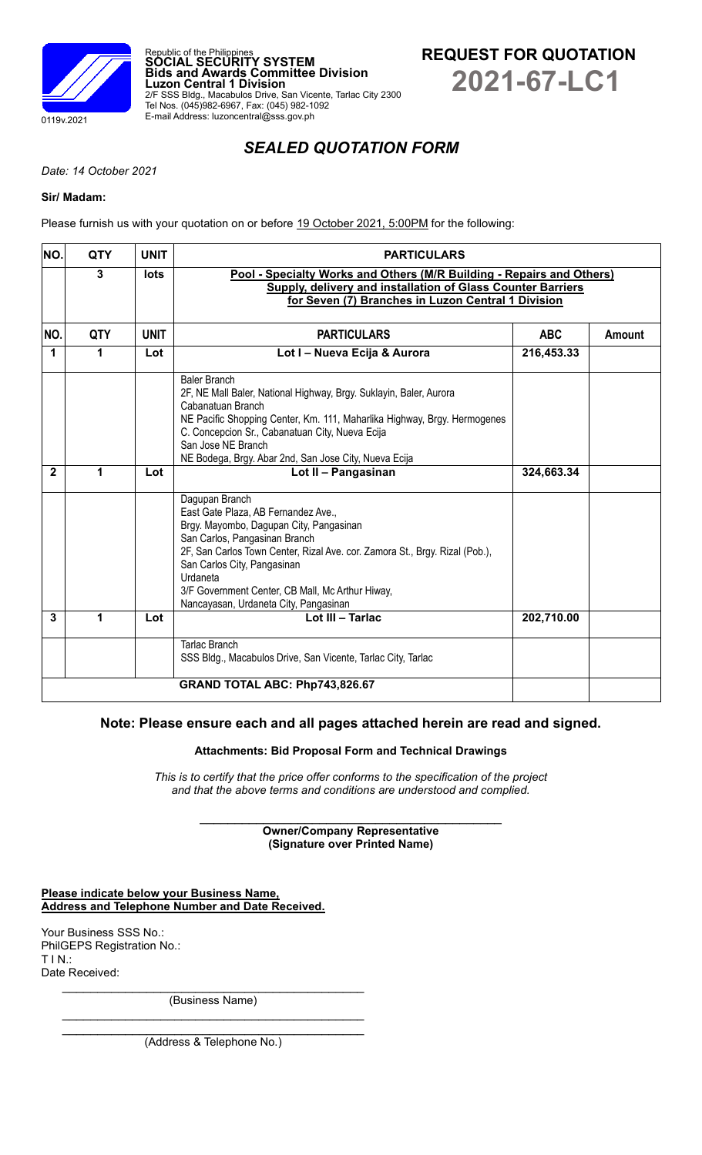



*SEALED QUOTATION FORM*

*Date: 14 October 2021*

## **Sir/ Madam:**

Please furnish us with your quotation on or before 19 October 2021, 5:00PM for the following:

Republic of the Philippines **SOCIAL SECURITY SYSTEM**

Tel Nos. (045)982-6967, Fax: (045) 982-1092 E-mail Address: luzoncentral@sss.gov.ph

**Luzon Central 1 Division**

**Bids and Awards Committee Division**

2/F SSS Bldg., Macabulos Drive, San Vicente, Tarlac City 2300

| NO.                  | <b>QTY</b>   | <b>UNIT</b> | <b>PARTICULARS</b>                                                                                                                                                                                                                                                                                                                                       |            |        |  |
|----------------------|--------------|-------------|----------------------------------------------------------------------------------------------------------------------------------------------------------------------------------------------------------------------------------------------------------------------------------------------------------------------------------------------------------|------------|--------|--|
|                      | $\mathbf{3}$ | lots        | Pool - Specialty Works and Others (M/R Building - Repairs and Others)<br><b>Supply, delivery and installation of Glass Counter Barriers</b><br>for Seven (7) Branches in Luzon Central 1 Division                                                                                                                                                        |            |        |  |
| NO.                  | <b>QTY</b>   | <b>UNIT</b> | <b>PARTICULARS</b>                                                                                                                                                                                                                                                                                                                                       | <b>ABC</b> | Amount |  |
| $\blacktriangleleft$ | 1            | Lot         | Lot I - Nueva Ecija & Aurora                                                                                                                                                                                                                                                                                                                             | 216,453.33 |        |  |
|                      |              |             | <b>Baler Branch</b><br>2F, NE Mall Baler, National Highway, Brgy. Suklayin, Baler, Aurora<br>Cabanatuan Branch<br>NE Pacific Shopping Center, Km. 111, Maharlika Highway, Brgy. Hermogenes<br>C. Concepcion Sr., Cabanatuan City, Nueva Ecija<br>San Jose NE Branch<br>NE Bodega, Brgy. Abar 2nd, San Jose City, Nueva Ecija                             |            |        |  |
| $\mathbf{2}$         | 1            | Lot         | Lot II - Pangasinan                                                                                                                                                                                                                                                                                                                                      | 324,663.34 |        |  |
|                      |              |             | Dagupan Branch<br>East Gate Plaza, AB Fernandez Ave.,<br>Brgy. Mayombo, Dagupan City, Pangasinan<br>San Carlos, Pangasinan Branch<br>2F, San Carlos Town Center, Rizal Ave. cor. Zamora St., Brgy. Rizal (Pob.),<br>San Carlos City, Pangasinan<br>Urdaneta<br>3/F Government Center, CB Mall, Mc Arthur Hiway,<br>Nancayasan, Urdaneta City, Pangasinan |            |        |  |
| 3                    | $\mathbf 1$  | Lot         | Lot III - Tarlac                                                                                                                                                                                                                                                                                                                                         | 202,710.00 |        |  |
|                      |              |             | <b>Tarlac Branch</b><br>SSS Bldg., Macabulos Drive, San Vicente, Tarlac City, Tarlac                                                                                                                                                                                                                                                                     |            |        |  |
|                      |              |             | GRAND TOTAL ABC: Php743,826.67                                                                                                                                                                                                                                                                                                                           |            |        |  |

# **Note: Please ensure each and all pages attached herein are read and signed.**

## **Attachments: Bid Proposal Form and Technical Drawings**

*This is to certify that the price offer conforms to the specification of the project and that the above terms and conditions are understood and complied.*

> $\mathcal{L}_\text{max}$  , where  $\mathcal{L}_\text{max}$  and  $\mathcal{L}_\text{max}$  and  $\mathcal{L}_\text{max}$  and  $\mathcal{L}_\text{max}$ **Owner/Company Representative (Signature over Printed Name)**

**Please indicate below your Business Name, Address and Telephone Number and Date Received.**

Your Business SSS No.: PhilGEPS Registration No.: T I N.: Date Received:

> $\mathcal{L}_\text{max}$  , and the contract of the contract of the contract of the contract of the contract of the contract of the contract of the contract of the contract of the contract of the contract of the contract of the contr (Business Name)  $\mathcal{L}_\text{max}$  , and the set of the set of the set of the set of the set of the set of the set of the set of the set of the set of the set of the set of the set of the set of the set of the set of the set of the set of the

> $\mathcal{L}_\text{max}$  , and the contract of the contract of the contract of the contract of the contract of the contract of the contract of the contract of the contract of the contract of the contract of the contract of the contr (Address & Telephone No.)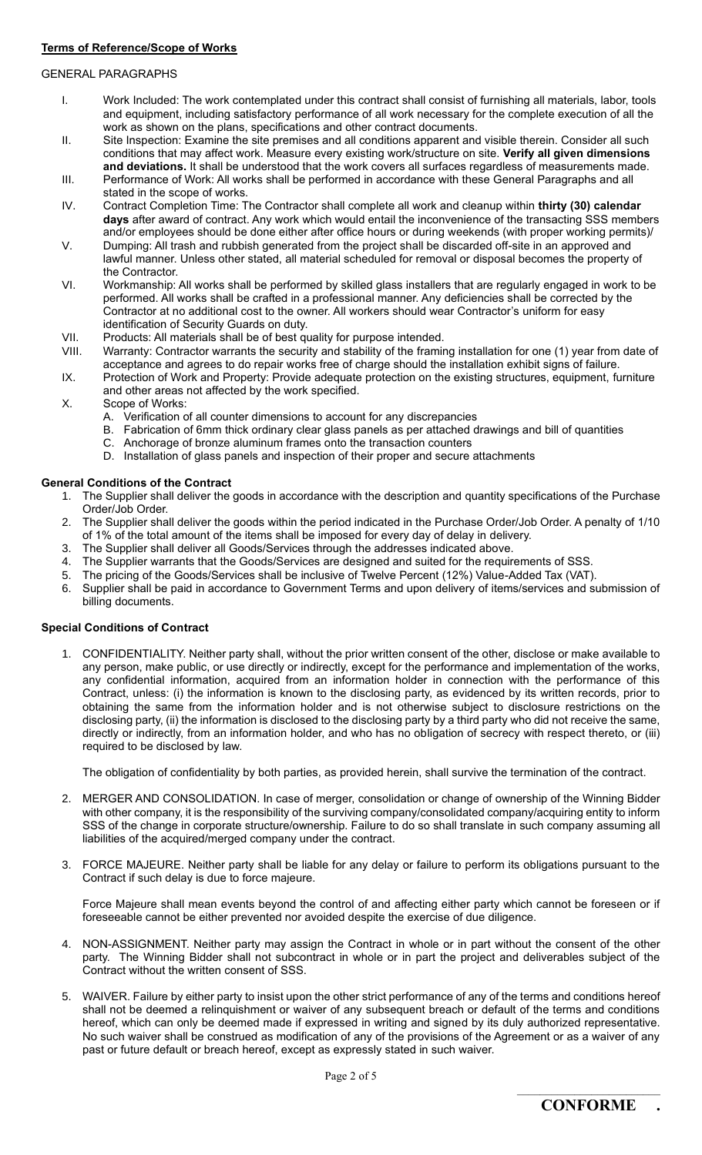## **Terms of Reference/Scope of Works**

## GENERAL PARAGRAPHS

- I. Work Included: The work contemplated under this contract shall consist of furnishing all materials, labor, tools and equipment, including satisfactory performance of all work necessary for the complete execution of all the work as shown on the plans, specifications and other contract documents.
- II. Site Inspection: Examine the site premises and all conditions apparent and visible therein. Consider all such conditions that may affect work. Measure every existing work/structure on site. **Verify all given dimensions and deviations.** It shall be understood that the work covers all surfaces regardless of measurements made.
- III. Performance of Work: All works shall be performed in accordance with these General Paragraphs and all stated in the scope of works.
- IV. Contract Completion Time: The Contractor shall complete all work and cleanup within **thirty (30) calendar days** after award of contract. Any work which would entail the inconvenience of the transacting SSS members and/or employees should be done either after office hours or during weekends (with proper working permits)/
- V. Dumping: All trash and rubbish generated from the project shall be discarded off-site in an approved and lawful manner. Unless other stated, all material scheduled for removal or disposal becomes the property of the Contractor.
- VI. Workmanship: All works shall be performed by skilled glass installers that are regularly engaged in work to be performed. All works shall be crafted in a professional manner. Any deficiencies shall be corrected by the Contractor at no additional cost to the owner. All workers should wear Contractor's uniform for easy identification of Security Guards on duty.
- VII. Products: All materials shall be of best quality for purpose intended.
- VIII. Warranty: Contractor warrants the security and stability of the framing installation for one (1) year from date of acceptance and agrees to do repair works free of charge should the installation exhibit signs of failure.
- IX. Protection of Work and Property: Provide adequate protection on the existing structures, equipment, furniture and other areas not affected by the work specified.
- X. Scope of Works:
	- A. Verification of all counter dimensions to account for any discrepancies
	- B. Fabrication of 6mm thick ordinary clear glass panels as per attached drawings and bill of quantities
	- C. Anchorage of bronze aluminum frames onto the transaction counters
	- D. Installation of glass panels and inspection of their proper and secure attachments

## **General Conditions of the Contract**

- 1. The Supplier shall deliver the goods in accordance with the description and quantity specifications of the Purchase Order/Job Order.
- 2. The Supplier shall deliver the goods within the period indicated in the Purchase Order/Job Order. A penalty of 1/10 of 1% of the total amount of the items shall be imposed for every day of delay in delivery.
- 3. The Supplier shall deliver all Goods/Services through the addresses indicated above.
- 4. The Supplier warrants that the Goods/Services are designed and suited for the requirements of SSS.
- 5. The pricing of the Goods/Services shall be inclusive of Twelve Percent (12%) Value-Added Tax (VAT).
- 6. Supplier shall be paid in accordance to Government Terms and upon delivery of items/services and submission of billing documents.

## **Special Conditions of Contract**

1. CONFIDENTIALITY. Neither party shall, without the prior written consent of the other, disclose or make available to any person, make public, or use directly or indirectly, except for the performance and implementation of the works, any confidential information, acquired from an information holder in connection with the performance of this Contract, unless: (i) the information is known to the disclosing party, as evidenced by its written records, prior to obtaining the same from the information holder and is not otherwise subject to disclosure restrictions on the disclosing party, (ii) the information is disclosed to the disclosing party by a third party who did not receive the same, directly or indirectly, from an information holder, and who has no obligation of secrecy with respect thereto, or (iii) required to be disclosed by law.

The obligation of confidentiality by both parties, as provided herein, shall survive the termination of the contract.

- 2. MERGER AND CONSOLIDATION. In case of merger, consolidation or change of ownership of the Winning Bidder with other company, it is the responsibility of the surviving company/consolidated company/acquiring entity to inform SSS of the change in corporate structure/ownership. Failure to do so shall translate in such company assuming all liabilities of the acquired/merged company under the contract.
- 3. FORCE MAJEURE. Neither party shall be liable for any delay or failure to perform its obligations pursuant to the Contract if such delay is due to force majeure.

Force Majeure shall mean events beyond the control of and affecting either party which cannot be foreseen or if foreseeable cannot be either prevented nor avoided despite the exercise of due diligence.

- 4. NON-ASSIGNMENT. Neither party may assign the Contract in whole or in part without the consent of the other party. The Winning Bidder shall not subcontract in whole or in part the project and deliverables subject of the Contract without the written consent of SSS.
- 5. WAIVER. Failure by either party to insist upon the other strict performance of any of the terms and conditions hereof shall not be deemed a relinquishment or waiver of any subsequent breach or default of the terms and conditions hereof, which can only be deemed made if expressed in writing and signed by its duly authorized representative. No such waiver shall be construed as modification of any of the provisions of the Agreement or as a waiver of any past or future default or breach hereof, except as expressly stated in such waiver.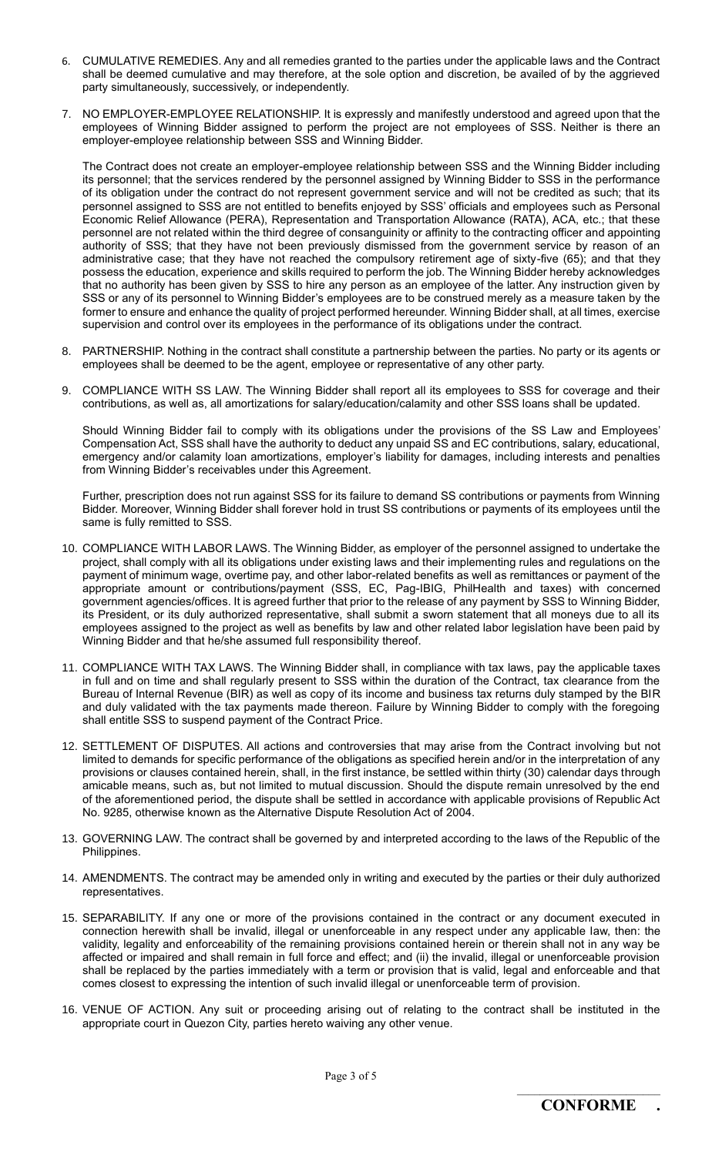- 6. CUMULATIVE REMEDIES. Any and all remedies granted to the parties under the applicable laws and the Contract shall be deemed cumulative and may therefore, at the sole option and discretion, be availed of by the aggrieved party simultaneously, successively, or independently.
- 7. NO EMPLOYER-EMPLOYEE RELATIONSHIP. It is expressly and manifestly understood and agreed upon that the employees of Winning Bidder assigned to perform the project are not employees of SSS. Neither is there an employer-employee relationship between SSS and Winning Bidder.

The Contract does not create an employer-employee relationship between SSS and the Winning Bidder including its personnel; that the services rendered by the personnel assigned by Winning Bidder to SSS in the performance of its obligation under the contract do not represent government service and will not be credited as such; that its personnel assigned to SSS are not entitled to benefits enjoyed by SSS' officials and employees such as Personal Economic Relief Allowance (PERA), Representation and Transportation Allowance (RATA), ACA, etc.; that these personnel are not related within the third degree of consanguinity or affinity to the contracting officer and appointing authority of SSS; that they have not been previously dismissed from the government service by reason of an administrative case; that they have not reached the compulsory retirement age of sixty-five (65); and that they possess the education, experience and skills required to perform the job. The Winning Bidder hereby acknowledges that no authority has been given by SSS to hire any person as an employee of the latter. Any instruction given by SSS or any of its personnel to Winning Bidder's employees are to be construed merely as a measure taken by the former to ensure and enhance the quality of project performed hereunder. Winning Bidder shall, at all times, exercise supervision and control over its employees in the performance of its obligations under the contract.

- 8. PARTNERSHIP. Nothing in the contract shall constitute a partnership between the parties. No party or its agents or employees shall be deemed to be the agent, employee or representative of any other party.
- 9. COMPLIANCE WITH SS LAW. The Winning Bidder shall report all its employees to SSS for coverage and their contributions, as well as, all amortizations for salary/education/calamity and other SSS loans shall be updated.

Should Winning Bidder fail to comply with its obligations under the provisions of the SS Law and Employees' Compensation Act, SSS shall have the authority to deduct any unpaid SS and EC contributions, salary, educational, emergency and/or calamity loan amortizations, employer's liability for damages, including interests and penalties from Winning Bidder's receivables under this Agreement.

Further, prescription does not run against SSS for its failure to demand SS contributions or payments from Winning Bidder. Moreover, Winning Bidder shall forever hold in trust SS contributions or payments of its employees until the same is fully remitted to SSS.

- 10. COMPLIANCE WITH LABOR LAWS. The Winning Bidder, as employer of the personnel assigned to undertake the project, shall comply with all its obligations under existing laws and their implementing rules and regulations on the payment of minimum wage, overtime pay, and other labor-related benefits as well as remittances or payment of the appropriate amount or contributions/payment (SSS, EC, Pag-IBIG, PhilHealth and taxes) with concerned government agencies/offices. It is agreed further that prior to the release of any payment by SSS to Winning Bidder, its President, or its duly authorized representative, shall submit a sworn statement that all moneys due to all its employees assigned to the project as well as benefits by law and other related labor legislation have been paid by Winning Bidder and that he/she assumed full responsibility thereof.
- 11. COMPLIANCE WITH TAX LAWS. The Winning Bidder shall, in compliance with tax laws, pay the applicable taxes in full and on time and shall regularly present to SSS within the duration of the Contract, tax clearance from the Bureau of Internal Revenue (BIR) as well as copy of its income and business tax returns duly stamped by the BIR and duly validated with the tax payments made thereon. Failure by Winning Bidder to comply with the foregoing shall entitle SSS to suspend payment of the Contract Price.
- 12. SETTLEMENT OF DISPUTES. All actions and controversies that may arise from the Contract involving but not limited to demands for specific performance of the obligations as specified herein and/or in the interpretation of any provisions or clauses contained herein, shall, in the first instance, be settled within thirty (30) calendar days through amicable means, such as, but not limited to mutual discussion. Should the dispute remain unresolved by the end of the aforementioned period, the dispute shall be settled in accordance with applicable provisions of Republic Act No. 9285, otherwise known as the Alternative Dispute Resolution Act of 2004.
- 13. GOVERNING LAW. The contract shall be governed by and interpreted according to the laws of the Republic of the Philippines.
- 14. AMENDMENTS. The contract may be amended only in writing and executed by the parties or their duly authorized representatives.
- 15. SEPARABILITY. If any one or more of the provisions contained in the contract or any document executed in connection herewith shall be invalid, illegal or unenforceable in any respect under any applicable law, then: the validity, legality and enforceability of the remaining provisions contained herein or therein shall not in any way be affected or impaired and shall remain in full force and effect; and (ii) the invalid, illegal or unenforceable provision shall be replaced by the parties immediately with a term or provision that is valid, legal and enforceable and that comes closest to expressing the intention of such invalid illegal or unenforceable term of provision.
- 16. VENUE OF ACTION. Any suit or proceeding arising out of relating to the contract shall be instituted in the appropriate court in Quezon City, parties hereto waiving any other venue.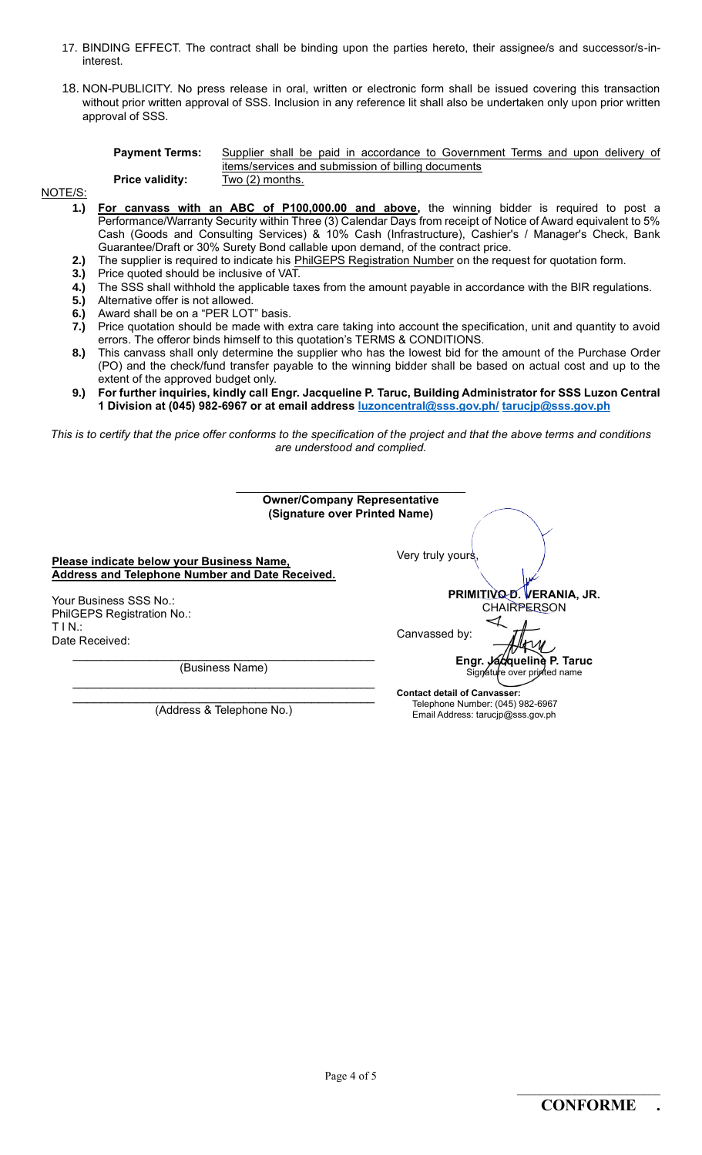- 17. BINDING EFFECT. The contract shall be binding upon the parties hereto, their assignee/s and successor/s-ininterest.
- 18. NON-PUBLICITY. No press release in oral, written or electronic form shall be issued covering this transaction without prior written approval of SSS. Inclusion in any reference lit shall also be undertaken only upon prior written approval of SSS.

| <b>Payment Terms:</b>  | Supplier shall be paid in accordance to Government Terms and upon delivery of |  |  |  |  |  |
|------------------------|-------------------------------------------------------------------------------|--|--|--|--|--|
|                        | items/services and submission of billing documents                            |  |  |  |  |  |
| <b>Price validity:</b> | Two (2) months.                                                               |  |  |  |  |  |

NOTE/S:

- **1.) For canvass with an ABC of P100,000.00 and above,** the winning bidder is required to post a Performance/Warranty Security within Three (3) Calendar Days from receipt of Notice of Award equivalent to 5% Cash (Goods and Consulting Services) & 10% Cash (Infrastructure), Cashier's / Manager's Check, Bank Guarantee/Draft or 30% Surety Bond callable upon demand, of the contract price.
	- **2.)** The supplier is required to indicate his PhilGEPS Registration Number on the request for quotation form.
	- **3.)** Price quoted should be inclusive of VAT.
	- **4.)** The SSS shall withhold the applicable taxes from the amount payable in accordance with the BIR regulations.
	- **5.)** Alternative offer is not allowed.
	- **6.)** Award shall be on a "PER LOT" basis.
	- **7.)** Price quotation should be made with extra care taking into account the specification, unit and quantity to avoid errors. The offeror binds himself to this quotation's TERMS & CONDITIONS.
	- **8.)** This canvass shall only determine the supplier who has the lowest bid for the amount of the Purchase Order (PO) and the check/fund transfer payable to the winning bidder shall be based on actual cost and up to the extent of the approved budget only.
	- **9.) For further inquiries, kindly call Engr. Jacqueline P. Taruc, Building Administrator for SSS Luzon Central 1 Division at (045) 982-6967 or at email address [luzoncentral@sss.gov.ph/](mailto:luzoncentral@sss.gov.ph/) [tarucjp@sss.gov.ph](mailto:tarucjp@sss.gov.ph)**

*This is to certify that the price offer conforms to the specification of the project and that the above terms and conditions are understood and complied.*

| <b>Owner/Company Representative</b><br>(Signature over Printed Name)                         |                                                                                                              |
|----------------------------------------------------------------------------------------------|--------------------------------------------------------------------------------------------------------------|
| Please indicate below your Business Name,<br>Address and Telephone Number and Date Received. | Very truly yours                                                                                             |
| Your Business SSS No.:<br>PhilGEPS Registration No.:                                         | PRIMITIVO D. VERANIA, JR.<br><b>CHAIRPERSON</b>                                                              |
| $TIN$ :<br>Date Received:                                                                    | Canvassed by:<br>Engr. Jacqueline P. Taruc                                                                   |
| (Business Name)                                                                              | Signature over printed name                                                                                  |
| (Address & Telephone No.)                                                                    | <b>Contact detail of Canvasser:</b><br>Telephone Number: (045) 982-6967<br>Email Address: tarucip@sss.gov.ph |